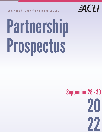

# Partnership Prospectus



## **A n n u a l C o n f e r e n c e 2 0 2 2**

## September28-30

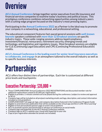## Overview

**ACLI Annual Conference** brings together senior executives from life insurance and financial services companies to examine today's business and political issues. This prestigious conference combines networking opportunities among industry peers with a cutting-edge program focused on the industry's most pressing topics.

Participating in the **Annual Conference 2022** as a Partner is the ideal way to promote your company in a networking, educational, and professional setting.

- Three COMPLIMENTARY Annual Conference 2022 REGISTRATIONS and discounted member rate for  $\bullet$ additional registrations (valued at \$1,895 per registration)
- Eligible to provide a 1-minute commercial to be played during the conference. (subject to review and approval by ACLI)
- Company logo will be included on all pre/post marketing emails and logo, description, and contact information included on virtual platform COMPLIMENTARY full-page ad, logo, and company description featured in the Conference Program Guide  $\bullet$ Eligible to send electronic publication that will be available on the virtual app and ACLI's LMS "ACLI Learning"  $\bullet$ Eligible to host personalized sponsor page on event virtual platform  $\bullet$ ACLI to promote session and partnership in advance of conference on social media  $\begin{array}{c} \bullet \\ \bullet \end{array}$ Company logo and hyperlink on the ACLI Annual Conference website  $\bullet$ Company logo on ACLI's website year-round with hyperlink to your site Copy of pre-registration attendee list (emails not included)  $\bullet$

The educational component features fast-paced general sessions with **well-known keynote** speakers combined with **more than 12 breakout sessions** on specific industry topics. These wide-ranging sessions address legal/compliance, investment/financial, reinsurance, retirement security, emerging trends and technology, and legislative and regulatory issues. Most breakout sessions are eligible for CLE (Continuing Legal Education) and CPE (Continuing Professional Education) credits.

**ACLI's Annual Conference is the leading eventfor senior-level insurance executives to collaborate, and engage** in an atmosphere tailored to the overall industry as well as to specific business interests.

# Partnerships

ACLI offers four distinct tiers of partnerships. Each tier is customized at different price levels and touchpoints:

## Executive Partnership: \$35,000 +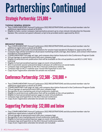### **TUESDAY GENERAL SESSION**

- Two COMPLIMENTARY Annual Conference 2022 REGISTRATIONS and discounted member rate for additional registrations (valued at \$1,895)
- Eligible to have a senior company representative present up to a two-minute introduction for Keynote Speaker (No commercial speech allowed; script to be provided and/or approved by ACLI)

OR

#### **BREAKOUT SESSION**

# Partnerships Continued Strategic Partnership: \$25,000 +

- Two COMPLIMENTARY Annual Conference 2022 REGISTRATIONS and discounted member rate for additional registrations (valued at \$1,895)
- Sponsor eligible to provide recommendations for session topic/speaker(s) (Subject to approval by ACLI) Company logo will be included on all pre/post marketing emails and logo, description, and contact information included on virtual platform COMPLIMENTARY full-page ad, logo, and company description featured in the Conference Program Guide • Virtual signage at sponsored event with your company logo Eligible to send electronic publication that will be available on the virtual platform and ACLI's LMS "ACLI Learning" Eligible to host personalized sponsor page on event virtual platform ACLI to promote session and partnership in advance of conference on social media Company logo and hyperlink on the ACLI Annual Conference website Company logo on ACLI's website year-round with hyperlink to your site Copy of pre-registration attendee list (emails not included)

## Conference Partnership: \$12,500 - \$20,000 +

- Two COMPLIMENTARY Annual Conference 2022 REGISTRATIONS and discounted member rate for  $\bullet$ additional registrations (valued at \$1,895)
- COMPLIMENTARY half-page ad, logo, and company description featured in the Conference Program Guide
- Virtual signage at sponsored event with your company logo
- Recognition in pre-marketing and virtual conference materials
- Eligible to send electronic publication that will be available on the virtual platform
- Eligible to host personalized sponsor page on event virtual platform
- Company logo and hyperlink on the ACLI Annual Conference
- Copy of pre-registration attendee list (emails not included)

## Supporting Partnership: \$12,000 and below

- One COMPLIMENTARY Annual Conference 2022 REGISTRATIONS and discounted member rate for additional registrations (valued at \$1,895)
- Virtual signage at sponsored event with your company logo
- Recognition in pre-marketing and virtual conference materials
- Eligible to host personalized sponsor page on event virtual platform
- Company logo and hyperlink on the ACLI Annual Conference website
- Copy of pre-registration attendee list (emails not included)

#### 2 ACLI Annual Conference 2022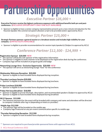## *Conference Partner \$12,500 - \$24,999 +*

# Partnership Opportunities *Executive Partner \$35,000 +*

**\*\* Sponsors are required to purchase/provide sponsored items with approval from ACLI.**

**Executive Partners receive the highest conference exposure with additional benefits both pre and postconference. (EXCLUSIVE OPPORTUNITY ONLY ONE SLOT AVAILABLE)**

• Sponsor is eligible to have a senior company representative present up to a two-minute introduction for the Keynote Speaker (No commercial speech allowed; script to be provided and/or approved by ACLI)

- The sponsor will be the sole sponsor of the registration information
- The sponsor is eligible to send a banner to be displayed at the registration desk during the conference.
- Company logo will be included on program guide and badge

## *Strategic Partner \$25,000 +*

**Strategic Partners sponsor a general session or a breakout session and includes high visibility for your company. (LIMITED SLOTS AVAILABLE)**

• Sponsor is eligible to provide recommendations for session topic/speaker(s) (Subject to approval by ACLI)

## **Registration Sponsor \$20,000 NEW**

- The sponsor logo will be branded on the mobile app
- Company logo freatured on any pre-event communication specific to mobile app

## **Networking Lounge Area - Exclusive Opportunity \$20,000 NEW**

• The sponsor will serve as networking lounge "host" for the conference

## **Wednesday Welcome Reception \$20,000**

• Sponsor is eligible to have branded items displayed during reception.

## **Thursday Luncheon Session \$20,000**

• Sponsor is eligible to have branded items displayed during luncheon.

## **Wi-Fi Sponsor \$15,000**

The network password for the event will be branded with company and name and attendees will be directed to company's website after log-in (depending on hotel a/v provider)

## **Friday Luncheon \$18,000**

• Sponsor is eligible to have branded items displayed during luncheon.

## **Friday Hot Issue Breakfast \$18,000**

- Sponsor is eligible to provie tite/topic, description, and recommended speakers (Subject to approval by ACLI)
- Sponsor is eligible to have branded items displayed during breakfast

## **Mobile App \$12,500**

## **Thursday Networking Reception \$12,500**

• Sponsor is eligible to have branded items displayed during reception.

3 ACLI Annual Conference 2022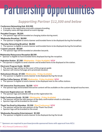# Partnership Opportunities

## **Portable Chargers \$8,500**

• The sponsor logo will be branded on charging station during event.

## **Wednesday Breakfast \$8,000**

The sponsor is eligible to send a banner and branded items to be displayed during the breakfast.

- The sponsor logo will be branded on attendee lanyards.
- **Wednesday Reinsurance Reception \$8,500**
- Sponsor is eligible to have branded items displayed during the reception.

## **Thursday Networking Breakfast \$8,000**

The sponsor is eligible to send a banner and branded items to be displayed during the breakfast.

- A lounge in the registration area with company branding
- Company name and logo placed on event signage

#### **Custom Lanyards \$8,500**

## **Hydration Station \$7,500 (Wednesday - Friday Available) NEW**

The sponsor is eligible to send a banner and branded items to be displayed at the station.

## *Supporting Partner \$12,500 and below*

## **Conference Networking Hub \$10,500**

### **Electronic Program Guide \$8,000**

- The sponsor logo will be on the cover of the program guide
- Sponsor will receive full page ad in prominate location.

- The sponsor will be the sole sponsor of the daily confirmation emails to attendees. • Sponsor logo will be branded on the email.
- **Thank You Emailto Attendees \$5,500 (Post Conference) NEW**
- The sponsor will be the sole sponsor of the Thank You Email.
- Sponsor logo will be branded on the email.
- **Wednesday Reception Entertainment \$5,500**
- The sponsor is eligible to send a banner to be displayed during the break
- **\*\* Sponsors are required to purchase/provide sponsored items with approval from ACLI.**
- 4 ACLI Annual Conference 2022

### **Electronic Registration List \$5,500**

• The sponsor logo and website will be on the registration list.

### **Refreshment Breaks \$7,500 (Wednesday - Friday Available)**

• The sponsor is eligible to send a banner to be displayed during the break

#### **All Day Coffee Sponsor \$7,500 (Wednesday - Friday Available) NEW**

The sponsor is eligible to send a banner to be displayed next to the coffee stations

## **50" Interactive Touchscreens \$6,500 NEW**

• The sponsor logo and branded interactive content will be available on the custom-designed touchscreen.

## **Daily Conference Emails \$5,500 (Wednesday - Friday Available)**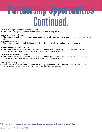# PartnershipOpportunities Continued.

**\*\* Sponsors are required to purchase/provide sponsored items with approval from ACLI.**

## **Wednesday Room Drop \*\* \$2,500**

• The sponsor is eligible to send branded item to attendee guest rooms. (Sponsor is also responsible for covering hotel delivery fee per room. Price varies \$4-\$7 based on hotel.)

The sponsor is eligible to send branded item to attendee guest rooms. (Sponsor is also responsible for covering hotel delivery fee per room. Price varies \$4-\$7 based on hotel.)

## **Thursday Room Drop \*\* \$2,000**

- **Thursday Reception Entertainment \$5,500**
- The sponsor is eligible to send a banner to be displayed during the break
- **Registration Gift \*\* \$3,500**
- The sponsor supplies registration gift (subject to approval) \*sponsored pens, pads, candies, hand sanitizers etc.

## **Tuesday Room Drop \*\* \$1,500**

The sponsor is eligible to send branded item to attendee guest rooms. (Sponsor is also responsible for covering hotel delivery fee per room. Price varies \$4-\$7 based on hotel.)

## **Starbucks Gift Card \*\* \$3,000**

• The sponsor supplies branded gift card distributed at registration (branding subject to approval)

5 ACLI Annual Conference 2022